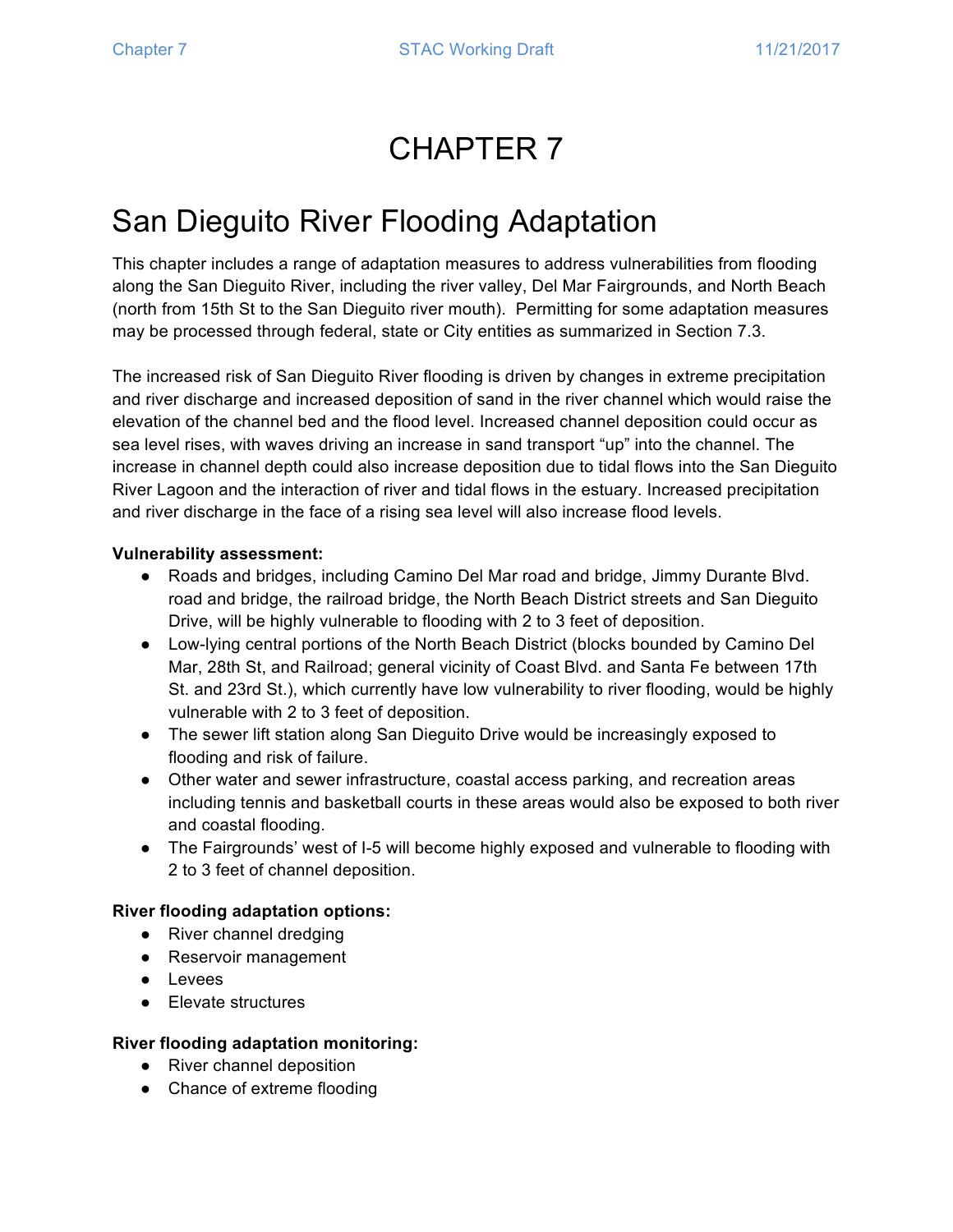# CHAPTER 7

# San Dieguito River Flooding Adaptation

This chapter includes a range of adaptation measures to address vulnerabilities from flooding along the San Dieguito River, including the river valley, Del Mar Fairgrounds, and North Beach (north from 15th St to the San Dieguito river mouth). Permitting for some adaptation measures may be processed through federal, state or City entities as summarized in Section 7.3.

The increased risk of San Dieguito River flooding is driven by changes in extreme precipitation and river discharge and increased deposition of sand in the river channel which would raise the elevation of the channel bed and the flood level. Increased channel deposition could occur as sea level rises, with waves driving an increase in sand transport "up" into the channel. The increase in channel depth could also increase deposition due to tidal flows into the San Dieguito River Lagoon and the interaction of river and tidal flows in the estuary. Increased precipitation and river discharge in the face of a rising sea level will also increase flood levels.

#### **Vulnerability assessment:**

- Roads and bridges, including Camino Del Mar road and bridge, Jimmy Durante Blvd. road and bridge, the railroad bridge, the North Beach District streets and San Dieguito Drive, will be highly vulnerable to flooding with 2 to 3 feet of deposition.
- Low-lying central portions of the North Beach District (blocks bounded by Camino Del Mar, 28th St, and Railroad; general vicinity of Coast Blvd. and Santa Fe between 17th St. and 23rd St.), which currently have low vulnerability to river flooding, would be highly vulnerable with 2 to 3 feet of deposition.
- The sewer lift station along San Dieguito Drive would be increasingly exposed to flooding and risk of failure.
- Other water and sewer infrastructure, coastal access parking, and recreation areas including tennis and basketball courts in these areas would also be exposed to both river and coastal flooding.
- The Fairgrounds' west of I-5 will become highly exposed and vulnerable to flooding with 2 to 3 feet of channel deposition.

#### **River flooding adaptation options:**

- River channel dredging
- Reservoir management
- Levees
- Elevate structures

#### **River flooding adaptation monitoring:**

- River channel deposition
- Chance of extreme flooding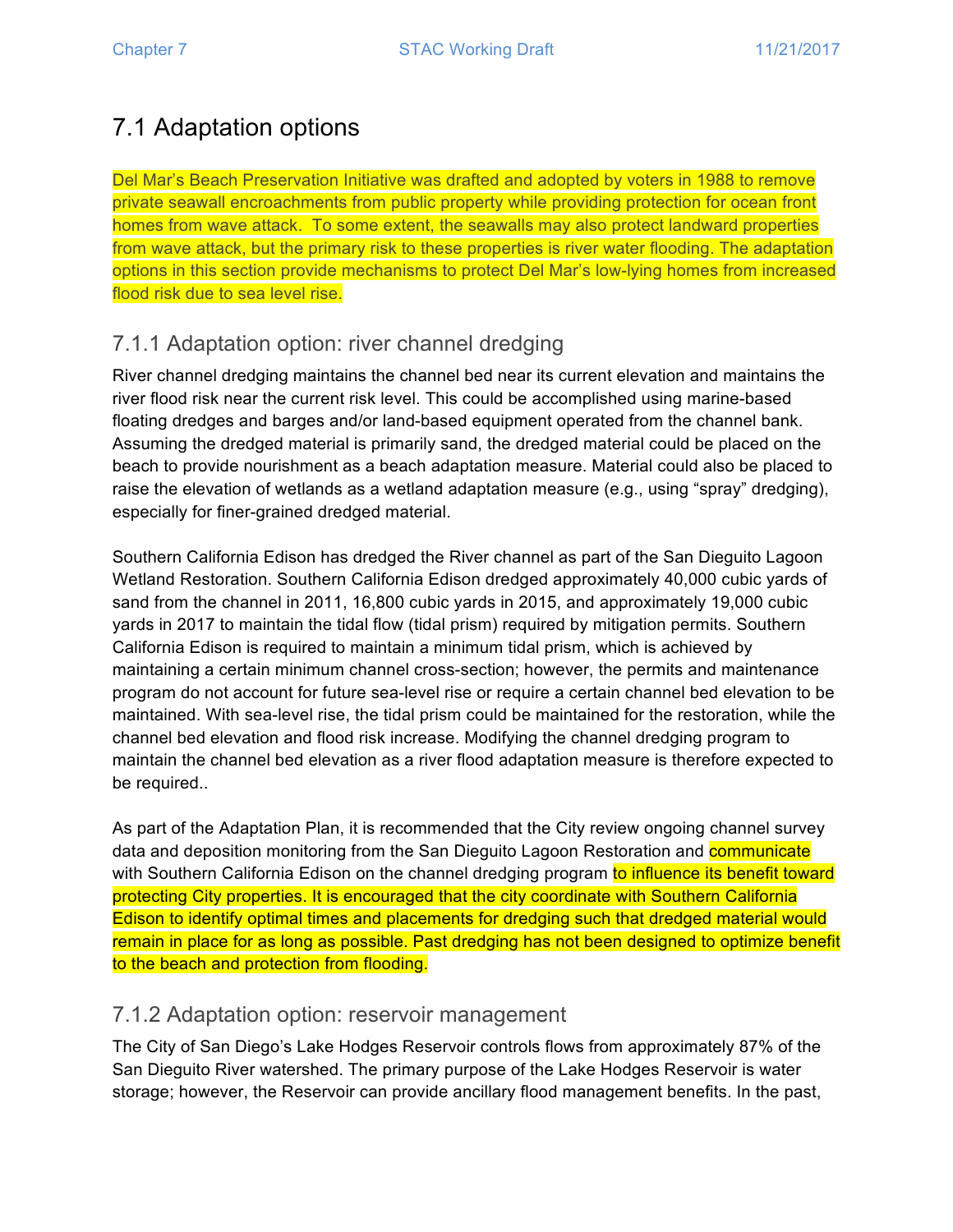# 7.1 Adaptation options

Del Mar's Beach Preservation Initiative was drafted and adopted by voters in 1988 to remove private seawall encroachments from public property while providing protection for ocean front homes from wave attack. To some extent, the seawalls may also protect landward properties from wave attack, but the primary risk to these properties is river water flooding. The adaptation options in this section provide mechanisms to protect Del Mar's low-lying homes from increased flood risk due to sea level rise.

## 7.1.1 Adaptation option: river channel dredging

River channel dredging maintains the channel bed near its current elevation and maintains the river flood risk near the current risk level. This could be accomplished using marine-based floating dredges and barges and/or land-based equipment operated from the channel bank. Assuming the dredged material is primarily sand, the dredged material could be placed on the beach to provide nourishment as a beach adaptation measure. Material could also be placed to raise the elevation of wetlands as a wetland adaptation measure (e.g., using "spray" dredging), especially for finer-grained dredged material.

Southern California Edison has dredged the River channel as part of the San Dieguito Lagoon Wetland Restoration. Southern California Edison dredged approximately 40,000 cubic yards of sand from the channel in 2011, 16,800 cubic yards in 2015, and approximately 19,000 cubic yards in 2017 to maintain the tidal flow (tidal prism) required by mitigation permits. Southern California Edison is required to maintain a minimum tidal prism, which is achieved by maintaining a certain minimum channel cross-section; however, the permits and maintenance program do not account for future sea-level rise or require a certain channel bed elevation to be maintained. With sea-level rise, the tidal prism could be maintained for the restoration, while the channel bed elevation and flood risk increase. Modifying the channel dredging program to maintain the channel bed elevation as a river flood adaptation measure is therefore expected to be required..

As part of the Adaptation Plan, it is recommended that the City review ongoing channel survey data and deposition monitoring from the San Dieguito Lagoon Restoration and **communicate** with Southern California Edison on the channel dredging program to influence its benefit toward protecting City properties. It is encouraged that the city coordinate with Southern California Edison to identify optimal times and placements for dredging such that dredged material would remain in place for as long as possible. Past dredging has not been designed to optimize benefit to the beach and protection from flooding.

#### 7.1.2 Adaptation option: reservoir management

The City of San Diego's Lake Hodges Reservoir controls flows from approximately 87% of the San Dieguito River watershed. The primary purpose of the Lake Hodges Reservoir is water storage; however, the Reservoir can provide ancillary flood management benefits. In the past,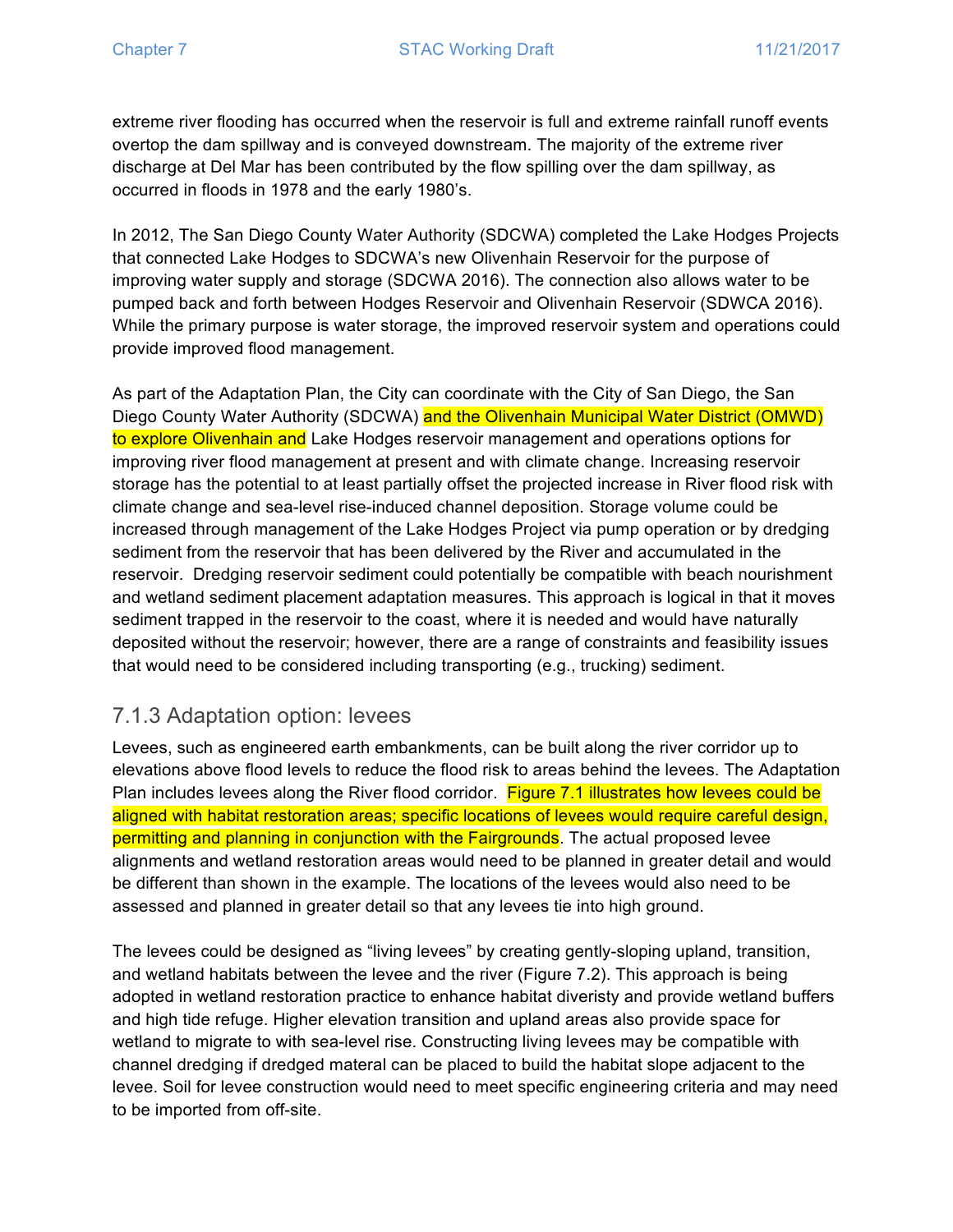extreme river flooding has occurred when the reservoir is full and extreme rainfall runoff events overtop the dam spillway and is conveyed downstream. The majority of the extreme river discharge at Del Mar has been contributed by the flow spilling over the dam spillway, as occurred in floods in 1978 and the early 1980's.

In 2012, The San Diego County Water Authority (SDCWA) completed the Lake Hodges Projects that connected Lake Hodges to SDCWA's new Olivenhain Reservoir for the purpose of improving water supply and storage (SDCWA 2016). The connection also allows water to be pumped back and forth between Hodges Reservoir and Olivenhain Reservoir (SDWCA 2016). While the primary purpose is water storage, the improved reservoir system and operations could provide improved flood management.

As part of the Adaptation Plan, the City can coordinate with the City of San Diego, the San Diego County Water Authority (SDCWA) and the Olivenhain Municipal Water District (OMWD) to explore Olivenhain and Lake Hodges reservoir management and operations options for improving river flood management at present and with climate change. Increasing reservoir storage has the potential to at least partially offset the projected increase in River flood risk with climate change and sea-level rise-induced channel deposition. Storage volume could be increased through management of the Lake Hodges Project via pump operation or by dredging sediment from the reservoir that has been delivered by the River and accumulated in the reservoir. Dredging reservoir sediment could potentially be compatible with beach nourishment and wetland sediment placement adaptation measures. This approach is logical in that it moves sediment trapped in the reservoir to the coast, where it is needed and would have naturally deposited without the reservoir; however, there are a range of constraints and feasibility issues that would need to be considered including transporting (e.g., trucking) sediment.

### 7.1.3 Adaptation option: levees

Levees, such as engineered earth embankments, can be built along the river corridor up to elevations above flood levels to reduce the flood risk to areas behind the levees. The Adaptation Plan includes levees along the River flood corridor. Figure 7.1 illustrates how levees could be aligned with habitat restoration areas; specific locations of levees would require careful design, permitting and planning in conjunction with the Fairgrounds. The actual proposed levee alignments and wetland restoration areas would need to be planned in greater detail and would be different than shown in the example. The locations of the levees would also need to be assessed and planned in greater detail so that any levees tie into high ground.

The levees could be designed as "living levees" by creating gently-sloping upland, transition, and wetland habitats between the levee and the river (Figure 7.2). This approach is being adopted in wetland restoration practice to enhance habitat diveristy and provide wetland buffers and high tide refuge. Higher elevation transition and upland areas also provide space for wetland to migrate to with sea-level rise. Constructing living levees may be compatible with channel dredging if dredged materal can be placed to build the habitat slope adjacent to the levee. Soil for levee construction would need to meet specific engineering criteria and may need to be imported from off-site.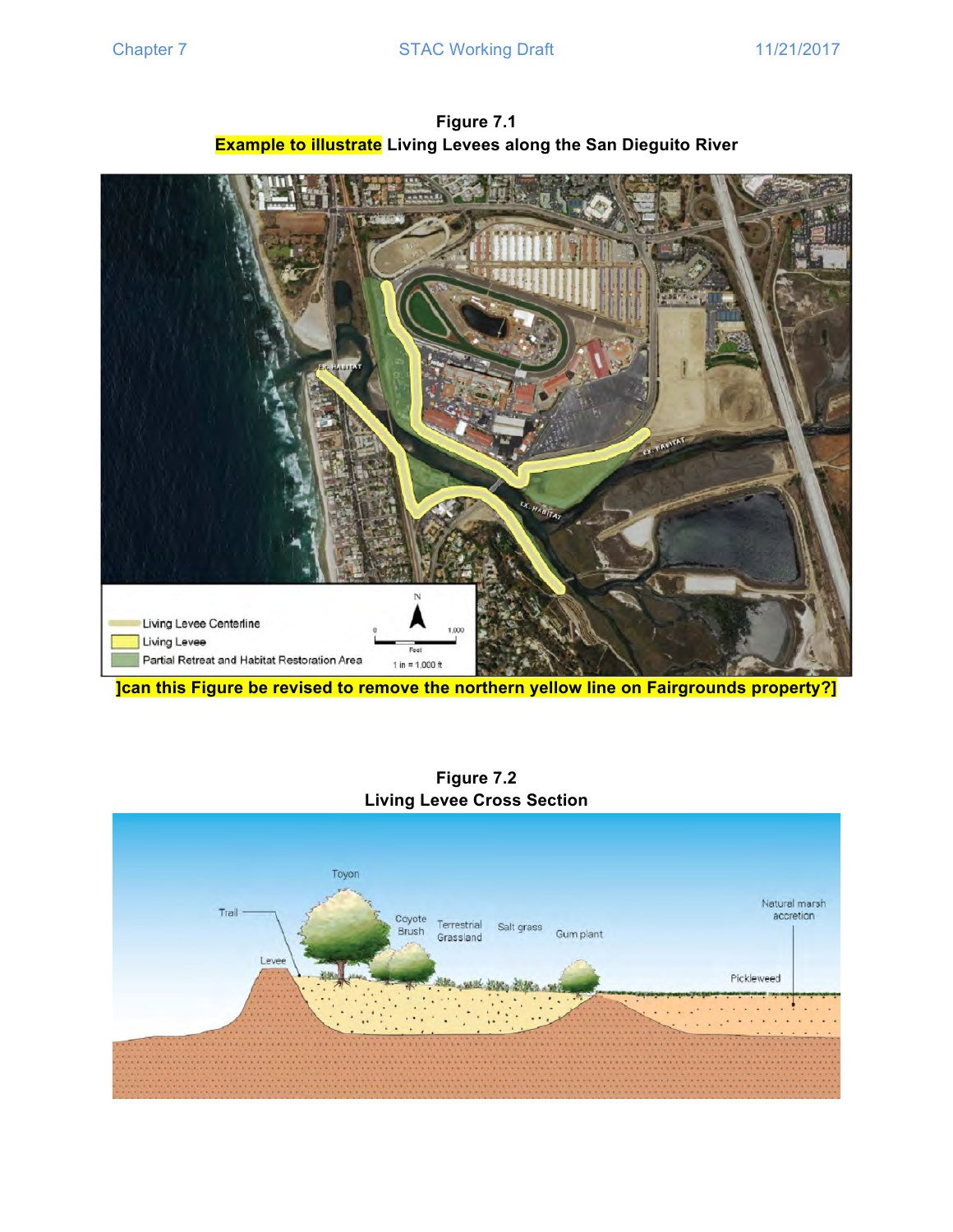

**Figure 7.1 Example to illustrate Living Levees along the San Dieguito River**

**]can this Figure be revised to remove the northern yellow line on Fairgrounds property?]**



**Figure 7.2 Living Levee Cross Section**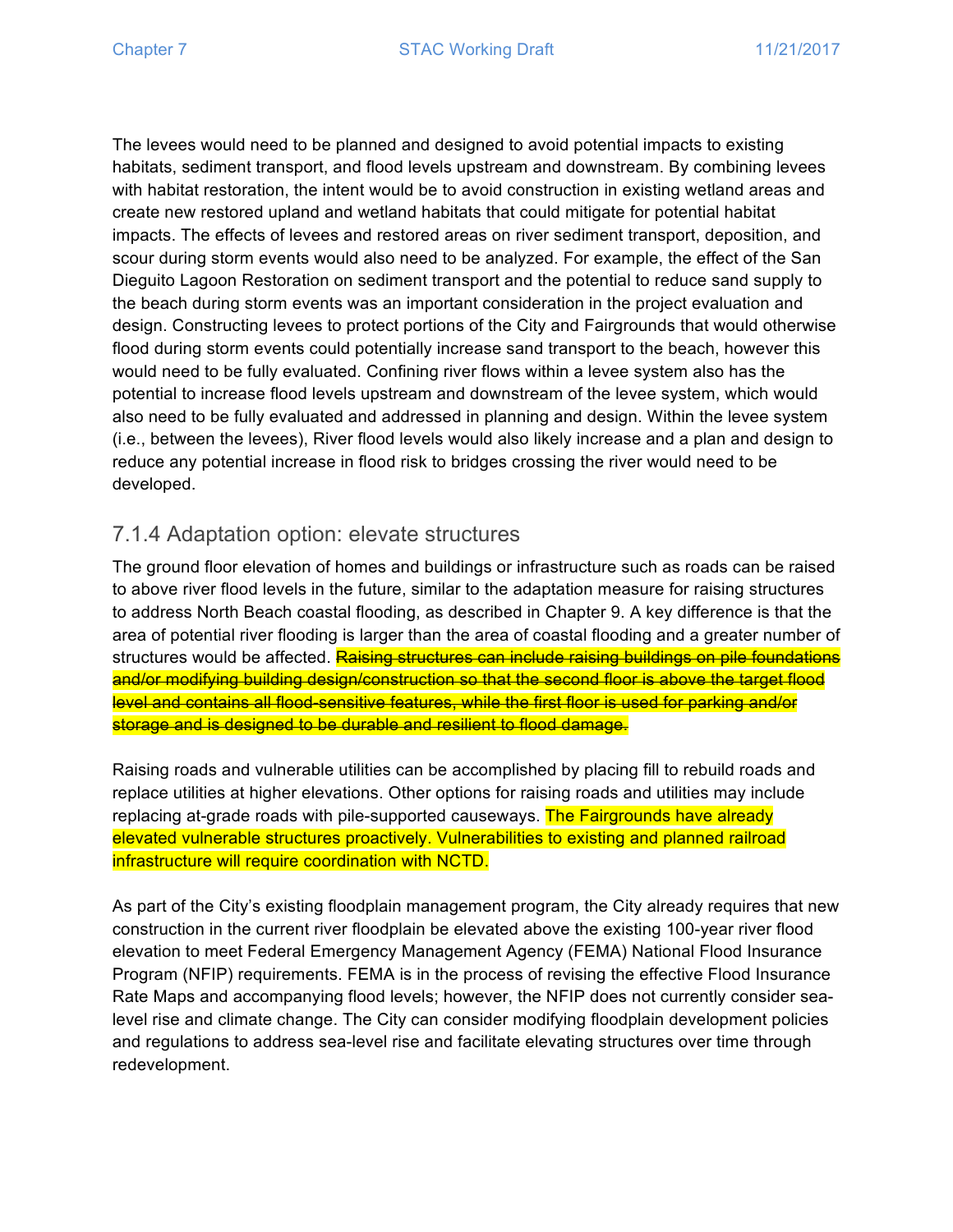The levees would need to be planned and designed to avoid potential impacts to existing habitats, sediment transport, and flood levels upstream and downstream. By combining levees with habitat restoration, the intent would be to avoid construction in existing wetland areas and create new restored upland and wetland habitats that could mitigate for potential habitat impacts. The effects of levees and restored areas on river sediment transport, deposition, and scour during storm events would also need to be analyzed. For example, the effect of the San Dieguito Lagoon Restoration on sediment transport and the potential to reduce sand supply to the beach during storm events was an important consideration in the project evaluation and design. Constructing levees to protect portions of the City and Fairgrounds that would otherwise flood during storm events could potentially increase sand transport to the beach, however this would need to be fully evaluated. Confining river flows within a levee system also has the potential to increase flood levels upstream and downstream of the levee system, which would also need to be fully evaluated and addressed in planning and design. Within the levee system (i.e., between the levees), River flood levels would also likely increase and a plan and design to reduce any potential increase in flood risk to bridges crossing the river would need to be developed.

### 7.1.4 Adaptation option: elevate structures

The ground floor elevation of homes and buildings or infrastructure such as roads can be raised to above river flood levels in the future, similar to the adaptation measure for raising structures to address North Beach coastal flooding, as described in Chapter 9. A key difference is that the area of potential river flooding is larger than the area of coastal flooding and a greater number of structures would be affected. Raising structures can include raising buildings on pile foundations and/or modifying building design/construction so that the second floor is above the target flood level and contains all flood-sensitive features, while the first floor is used for parking and/or storage and is designed to be durable and resilient to flood damage.

Raising roads and vulnerable utilities can be accomplished by placing fill to rebuild roads and replace utilities at higher elevations. Other options for raising roads and utilities may include replacing at-grade roads with pile-supported causeways. The Fairgrounds have already elevated vulnerable structures proactively. Vulnerabilities to existing and planned railroad infrastructure will require coordination with NCTD.

As part of the City's existing floodplain management program, the City already requires that new construction in the current river floodplain be elevated above the existing 100-year river flood elevation to meet Federal Emergency Management Agency (FEMA) National Flood Insurance Program (NFIP) requirements. FEMA is in the process of revising the effective Flood Insurance Rate Maps and accompanying flood levels; however, the NFIP does not currently consider sealevel rise and climate change. The City can consider modifying floodplain development policies and regulations to address sea-level rise and facilitate elevating structures over time through redevelopment.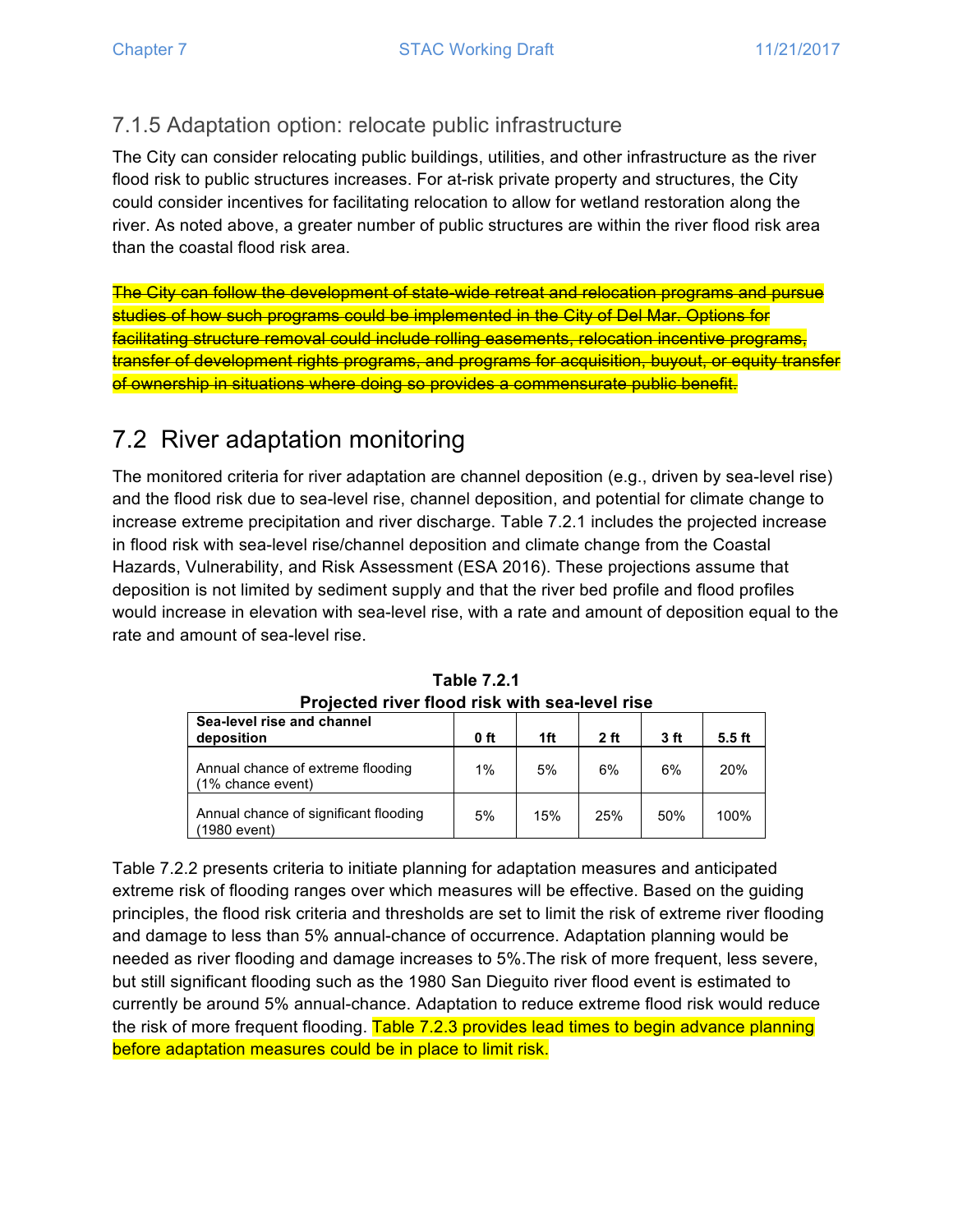## 7.1.5 Adaptation option: relocate public infrastructure

The City can consider relocating public buildings, utilities, and other infrastructure as the river flood risk to public structures increases. For at-risk private property and structures, the City could consider incentives for facilitating relocation to allow for wetland restoration along the river. As noted above, a greater number of public structures are within the river flood risk area than the coastal flood risk area.

The City can follow the development of state-wide retreat and relocation programs and pursue studies of how such programs could be implemented in the City of Del Mar. Options for facilitating structure removal could include rolling easements, relocation incentive programs, transfer of development rights programs, and programs for acquisition, buyout, or equity transfer of ownership in situations where doing so provides a commensurate public benefit.

## 7.2 River adaptation monitoring

The monitored criteria for river adaptation are channel deposition (e.g., driven by sea-level rise) and the flood risk due to sea-level rise, channel deposition, and potential for climate change to increase extreme precipitation and river discharge. Table 7.2.1 includes the projected increase in flood risk with sea-level rise/channel deposition and climate change from the Coastal Hazards, Vulnerability, and Risk Assessment (ESA 2016). These projections assume that deposition is not limited by sediment supply and that the river bed profile and flood profiles would increase in elevation with sea-level rise, with a rate and amount of deposition equal to the rate and amount of sea-level rise.

| <u>I IVIGULGU IIVGI IIVUU IIJN WILII JGU-IGVGI IIJG</u> |      |     |                |      |          |
|---------------------------------------------------------|------|-----|----------------|------|----------|
| Sea-level rise and channel<br>deposition                | 0 ft | 1ft | 2 <sub>f</sub> | 3 ft | $5.5$ ft |
| Annual chance of extreme flooding<br>(1% chance event)  | 1%   | 5%  | 6%             | 6%   | 20%      |
| Annual chance of significant flooding<br>(1980 event)   | 5%   | 15% | 25%            | 50%  | 100%     |

**Table 7.2.1 Projected river flood risk with sea-level rise**

Table 7.2.2 presents criteria to initiate planning for adaptation measures and anticipated extreme risk of flooding ranges over which measures will be effective. Based on the guiding principles, the flood risk criteria and thresholds are set to limit the risk of extreme river flooding and damage to less than 5% annual-chance of occurrence. Adaptation planning would be needed as river flooding and damage increases to 5%.The risk of more frequent, less severe, but still significant flooding such as the 1980 San Dieguito river flood event is estimated to currently be around 5% annual-chance. Adaptation to reduce extreme flood risk would reduce the risk of more frequent flooding. Table 7.2.3 provides lead times to begin advance planning before adaptation measures could be in place to limit risk.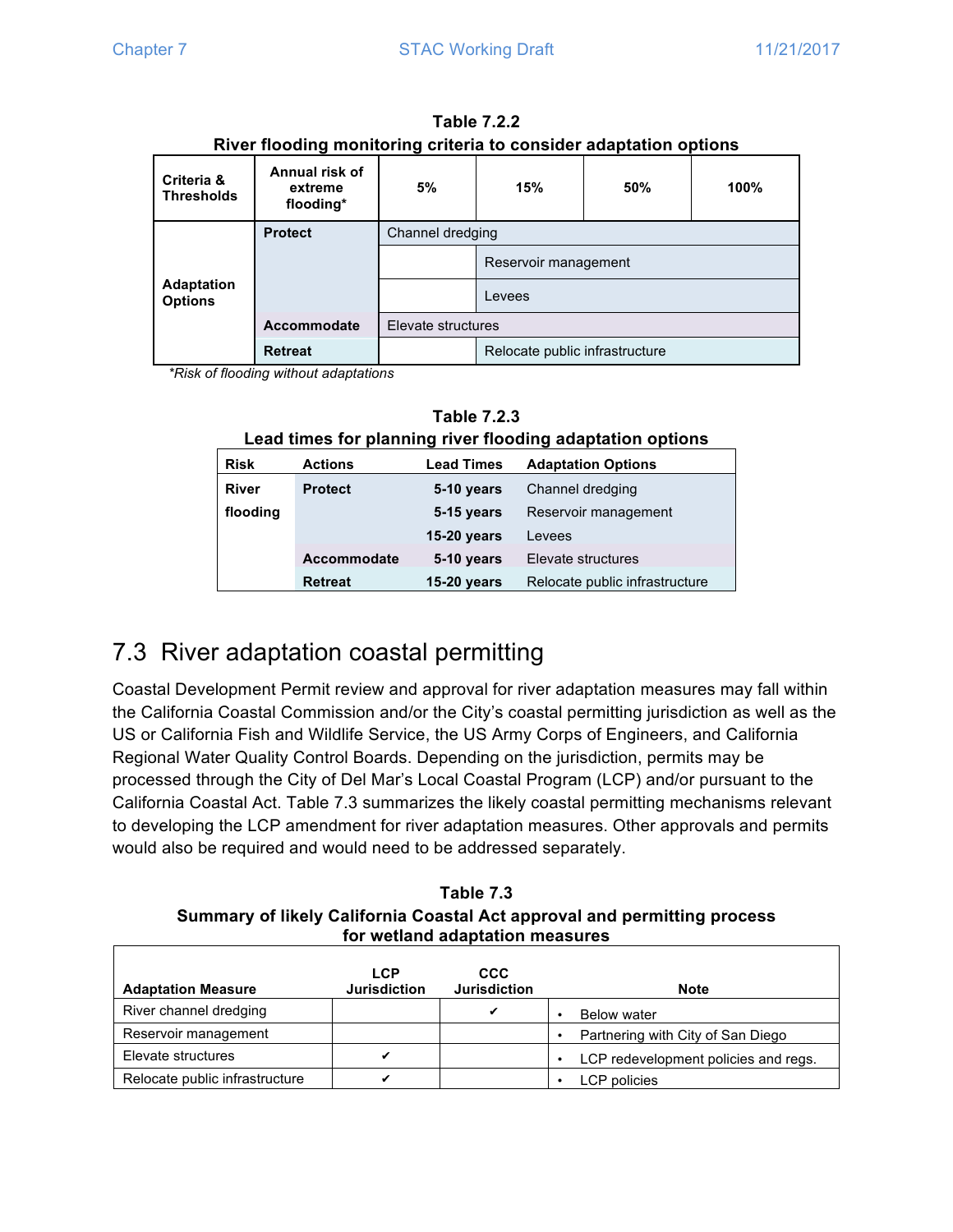|                                     |                                        | .                  |                                |     |      |  |
|-------------------------------------|----------------------------------------|--------------------|--------------------------------|-----|------|--|
| Criteria &<br><b>Thresholds</b>     | Annual risk of<br>extreme<br>flooding* | 5%                 | 15%                            | 50% | 100% |  |
|                                     | <b>Protect</b>                         | Channel dredging   |                                |     |      |  |
|                                     |                                        |                    | Reservoir management           |     |      |  |
| <b>Adaptation</b><br><b>Options</b> |                                        |                    | Levees                         |     |      |  |
|                                     | <b>Accommodate</b>                     | Elevate structures |                                |     |      |  |
|                                     | <b>Retreat</b>                         |                    | Relocate public infrastructure |     |      |  |

**Table 7.2.2 River flooding monitoring criteria to consider adaptation options**

*\*Risk of flooding without adaptations*

| <b>Table 7.2.3</b> |
|--------------------|
|                    |

**Lead times for planning river flooding adaptation options**

| <b>Risk</b>  | <b>Actions</b>     | <b>Lead Times</b>  | <b>Adaptation Options</b>      |
|--------------|--------------------|--------------------|--------------------------------|
| <b>River</b> | <b>Protect</b>     | 5-10 years         | Channel dredging               |
| flooding     |                    | 5-15 years         | Reservoir management           |
|              |                    | <b>15-20 years</b> | Levees                         |
|              | <b>Accommodate</b> | 5-10 years         | Elevate structures             |
|              | <b>Retreat</b>     | <b>15-20 years</b> | Relocate public infrastructure |

# 7.3 River adaptation coastal permitting

Coastal Development Permit review and approval for river adaptation measures may fall within the California Coastal Commission and/or the City's coastal permitting jurisdiction as well as the US or California Fish and Wildlife Service, the US Army Corps of Engineers, and California Regional Water Quality Control Boards. Depending on the jurisdiction, permits may be processed through the City of Del Mar's Local Coastal Program (LCP) and/or pursuant to the California Coastal Act. Table 7.3 summarizes the likely coastal permitting mechanisms relevant to developing the LCP amendment for river adaptation measures. Other approvals and permits would also be required and would need to be addressed separately.

**Table 7.3 Summary of likely California Coastal Act approval and permitting process for wetland adaptation measures**

| <b>Adaptation Measure</b>      | <b>LCP</b><br><b>Jurisdiction</b> | <b>CCC</b><br><b>Jurisdiction</b> | <b>Note</b>                          |
|--------------------------------|-----------------------------------|-----------------------------------|--------------------------------------|
| River channel dredging         |                                   |                                   | <b>Below water</b>                   |
| Reservoir management           |                                   |                                   | Partnering with City of San Diego    |
| Elevate structures             |                                   |                                   | LCP redevelopment policies and regs. |
| Relocate public infrastructure |                                   |                                   | LCP policies                         |